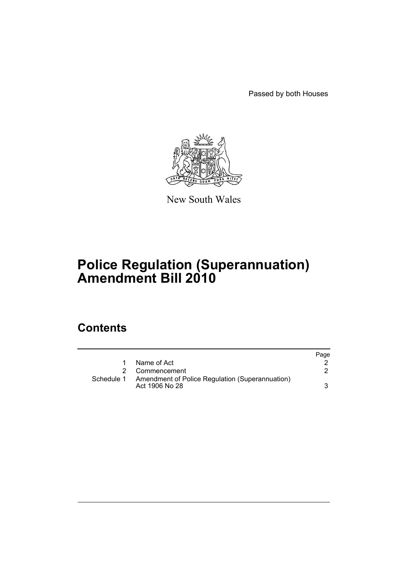Passed by both Houses



New South Wales

# **Police Regulation (Superannuation) Amendment Bill 2010**

## **Contents**

|            |                                                                   | Page |
|------------|-------------------------------------------------------------------|------|
|            | Name of Act                                                       |      |
|            | Commencement                                                      |      |
| Schedule 1 | Amendment of Police Regulation (Superannuation)<br>Act 1906 No 28 |      |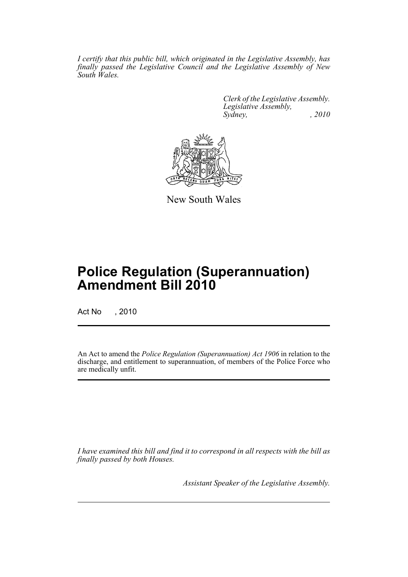*I certify that this public bill, which originated in the Legislative Assembly, has finally passed the Legislative Council and the Legislative Assembly of New South Wales.*

> *Clerk of the Legislative Assembly. Legislative Assembly, Sydney, , 2010*



New South Wales

## **Police Regulation (Superannuation) Amendment Bill 2010**

Act No , 2010

An Act to amend the *Police Regulation (Superannuation) Act 1906* in relation to the discharge, and entitlement to superannuation, of members of the Police Force who are medically unfit.

*I have examined this bill and find it to correspond in all respects with the bill as finally passed by both Houses.*

*Assistant Speaker of the Legislative Assembly.*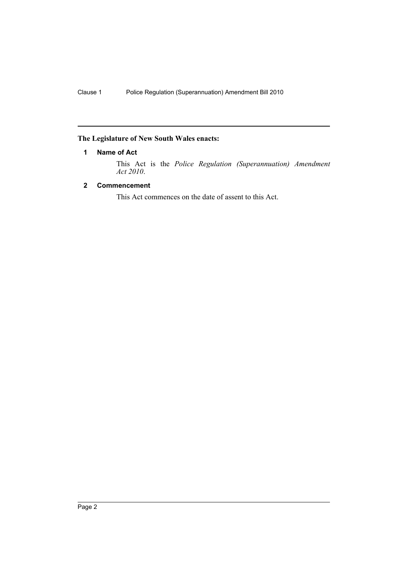### <span id="page-2-0"></span>**The Legislature of New South Wales enacts:**

#### **1 Name of Act**

This Act is the *Police Regulation (Superannuation) Amendment Act 2010*.

#### <span id="page-2-1"></span>**2 Commencement**

This Act commences on the date of assent to this Act.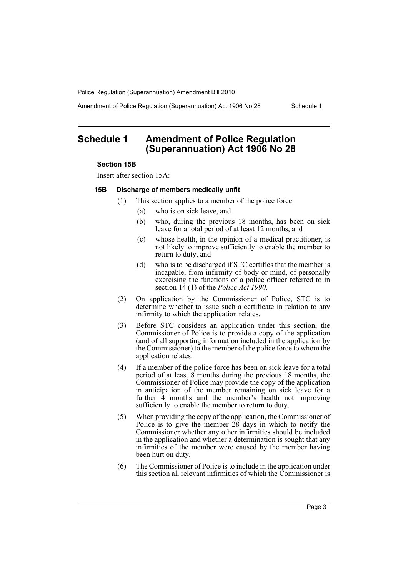Police Regulation (Superannuation) Amendment Bill 2010

Amendment of Police Regulation (Superannuation) Act 1906 No 28 Schedule 1

### <span id="page-3-0"></span>**Schedule 1 Amendment of Police Regulation (Superannuation) Act 1906 No 28**

#### **Section 15B**

Insert after section 15A:

#### **15B Discharge of members medically unfit**

- (1) This section applies to a member of the police force:
	- (a) who is on sick leave, and
	- (b) who, during the previous 18 months, has been on sick leave for a total period of at least 12 months, and
	- (c) whose health, in the opinion of a medical practitioner, is not likely to improve sufficiently to enable the member to return to duty, and
	- (d) who is to be discharged if STC certifies that the member is incapable, from infirmity of body or mind, of personally exercising the functions of a police officer referred to in section 14 (1) of the *Police Act 1990*.
- (2) On application by the Commissioner of Police, STC is to determine whether to issue such a certificate in relation to any infirmity to which the application relates.
- (3) Before STC considers an application under this section, the Commissioner of Police is to provide a copy of the application (and of all supporting information included in the application by the Commissioner) to the member of the police force to whom the application relates.
- (4) If a member of the police force has been on sick leave for a total period of at least  $8$  months during the previous 18 months, the Commissioner of Police may provide the copy of the application in anticipation of the member remaining on sick leave for a further 4 months and the member's health not improving sufficiently to enable the member to return to duty.
- (5) When providing the copy of the application, the Commissioner of Police is to give the member  $\hat{28}$  days in which to notify the Commissioner whether any other infirmities should be included in the application and whether a determination is sought that any infirmities of the member were caused by the member having been hurt on duty.
- (6) The Commissioner of Police is to include in the application under this section all relevant infirmities of which the Commissioner is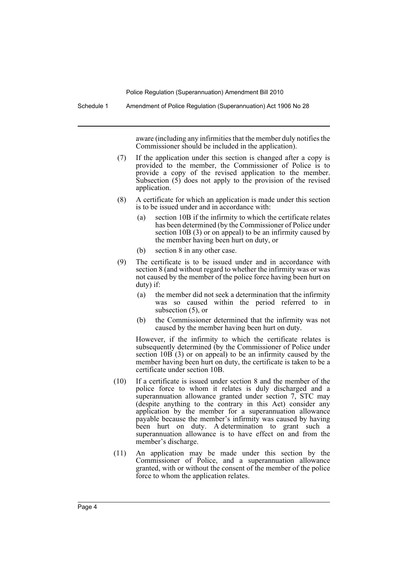Police Regulation (Superannuation) Amendment Bill 2010

Schedule 1 Amendment of Police Regulation (Superannuation) Act 1906 No 28

aware (including any infirmities that the member duly notifies the Commissioner should be included in the application).

- (7) If the application under this section is changed after a copy is provided to the member, the Commissioner of Police is to provide a copy of the revised application to the member. Subsection (5) does not apply to the provision of the revised application.
- (8) A certificate for which an application is made under this section is to be issued under and in accordance with:
	- (a) section 10B if the infirmity to which the certificate relates has been determined (by the Commissioner of Police under section 10B (3) or on appeal) to be an infirmity caused by the member having been hurt on duty, or
	- (b) section 8 in any other case.
- (9) The certificate is to be issued under and in accordance with section 8 (and without regard to whether the infirmity was or was not caused by the member of the police force having been hurt on duty) if:
	- (a) the member did not seek a determination that the infirmity was so caused within the period referred to in subsection (5), or
	- (b) the Commissioner determined that the infirmity was not caused by the member having been hurt on duty.

However, if the infirmity to which the certificate relates is subsequently determined (by the Commissioner of Police under section 10B (3) or on appeal) to be an infirmity caused by the member having been hurt on duty, the certificate is taken to be a certificate under section 10B.

- (10) If a certificate is issued under section 8 and the member of the police force to whom it relates is duly discharged and a superannuation allowance granted under section 7, STC may (despite anything to the contrary in this Act) consider any application by the member for a superannuation allowance payable because the member's infirmity was caused by having been hurt on duty. A determination to grant such a superannuation allowance is to have effect on and from the member's discharge.
- (11) An application may be made under this section by the Commissioner of Police, and a superannuation allowance granted, with or without the consent of the member of the police force to whom the application relates.